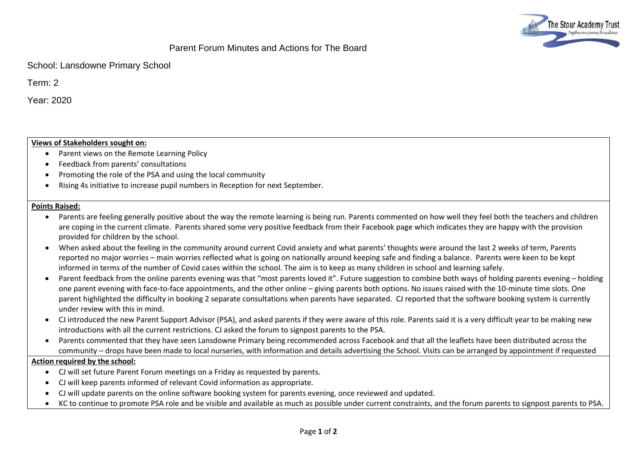

# Parent Forum Minutes and Actions for The Board

School: Lansdowne Primary School

Term: 2

Year: 2020

### **Views of Stakeholders sought on:**

- Parent views on the Remote Learning Policy
- Feedback from parents' consultations
- Promoting the role of the PSA and using the local community
- Rising 4s initiative to increase pupil numbers in Reception for next September.

#### **Points Raised:**

- Parents are feeling generally positive about the way the remote learning is being run. Parents commented on how well they feel both the teachers and children are coping in the current climate. Parents shared some very positive feedback from their Facebook page which indicates they are happy with the provision provided for children by the school.
- When asked about the feeling in the community around current Covid anxiety and what parents' thoughts were around the last 2 weeks of term, Parents reported no major worries – main worries reflected what is going on nationally around keeping safe and finding a balance. Parents were keen to be kept informed in terms of the number of Covid cases within the school. The aim is to keep as many children in school and learning safely.
- Parent feedback from the online parents evening was that "most parents loved it". Future suggestion to combine both ways of holding parents evening holding one parent evening with face-to-face appointments, and the other online – giving parents both options. No issues raised with the 10-minute time slots. One parent highlighted the difficulty in booking 2 separate consultations when parents have separated. CJ reported that the software booking system is currently under review with this in mind.
- CJ introduced the new Parent Support Advisor (PSA), and asked parents if they were aware of this role. Parents said it is a very difficult year to be making new introductions with all the current restrictions. CJ asked the forum to signpost parents to the PSA.
- Parents commented that they have seen Lansdowne Primary being recommended across Facebook and that all the leaflets have been distributed across the community – drops have been made to local nurseries, with information and details advertising the School. Visits can be arranged by appointment if requested

#### **Action required by the school:**

- CJ will set future Parent Forum meetings on a Friday as requested by parents.
- CJ will keep parents informed of relevant Covid information as appropriate.
- CJ will update parents on the online software booking system for parents evening, once reviewed and updated.
- KC to continue to promote PSA role and be visible and available as much as possible under current constraints, and the forum parents to signpost parents to PSA.